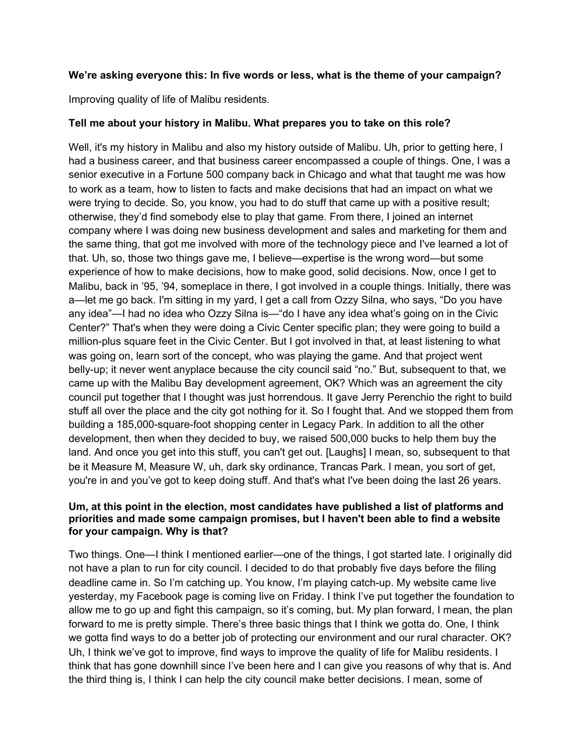## **We're asking everyone this: In five words or less, what is the theme of your campaign?**

Improving quality of life of Malibu residents.

### **Tell me about your history in Malibu. What prepares you to take on this role?**

Well, it's my history in Malibu and also my history outside of Malibu. Uh, prior to getting here, I had a business career, and that business career encompassed a couple of things. One, I was a senior executive in a Fortune 500 company back in Chicago and what that taught me was how to work as a team, how to listen to facts and make decisions that had an impact on what we were trying to decide. So, you know, you had to do stuff that came up with a positive result; otherwise, they'd find somebody else to play that game. From there, I joined an internet company where I was doing new business development and sales and marketing for them and the same thing, that got me involved with more of the technology piece and I've learned a lot of that. Uh, so, those two things gave me, I believe—expertise is the wrong word—but some experience of how to make decisions, how to make good, solid decisions. Now, once I get to Malibu, back in '95, '94, someplace in there, I got involved in a couple things. Initially, there was a—let me go back. I'm sitting in my yard, I get a call from Ozzy Silna, who says, "Do you have any idea"—I had no idea who Ozzy Silna is—"do I have any idea what's going on in the Civic Center?" That's when they were doing a Civic Center specific plan; they were going to build a million-plus square feet in the Civic Center. But I got involved in that, at least listening to what was going on, learn sort of the concept, who was playing the game. And that project went belly-up; it never went anyplace because the city council said "no." But, subsequent to that, we came up with the Malibu Bay development agreement, OK? Which was an agreement the city council put together that I thought was just horrendous. It gave Jerry Perenchio the right to build stuff all over the place and the city got nothing for it. So I fought that. And we stopped them from building a 185,000-square-foot shopping center in Legacy Park. In addition to all the other development, then when they decided to buy, we raised 500,000 bucks to help them buy the land. And once you get into this stuff, you can't get out. [Laughs] I mean, so, subsequent to that be it Measure M, Measure W, uh, dark sky ordinance, Trancas Park. I mean, you sort of get, you're in and you've got to keep doing stuff. And that's what I've been doing the last 26 years.

## **Um, at this point in the election, most candidates have published a list of platforms and priorities and made some campaign promises, but I haven't been able to find a website for your campaign. Why is that?**

Two things. One—I think I mentioned earlier—one of the things, I got started late. I originally did not have a plan to run for city council. I decided to do that probably five days before the filing deadline came in. So I'm catching up. You know, I'm playing catch-up. My website came live yesterday, my Facebook page is coming live on Friday. I think I've put together the foundation to allow me to go up and fight this campaign, so it's coming, but. My plan forward, I mean, the plan forward to me is pretty simple. There's three basic things that I think we gotta do. One, I think we gotta find ways to do a better job of protecting our environment and our rural character. OK? Uh, I think we've got to improve, find ways to improve the quality of life for Malibu residents. I think that has gone downhill since I've been here and I can give you reasons of why that is. And the third thing is, I think I can help the city council make better decisions. I mean, some of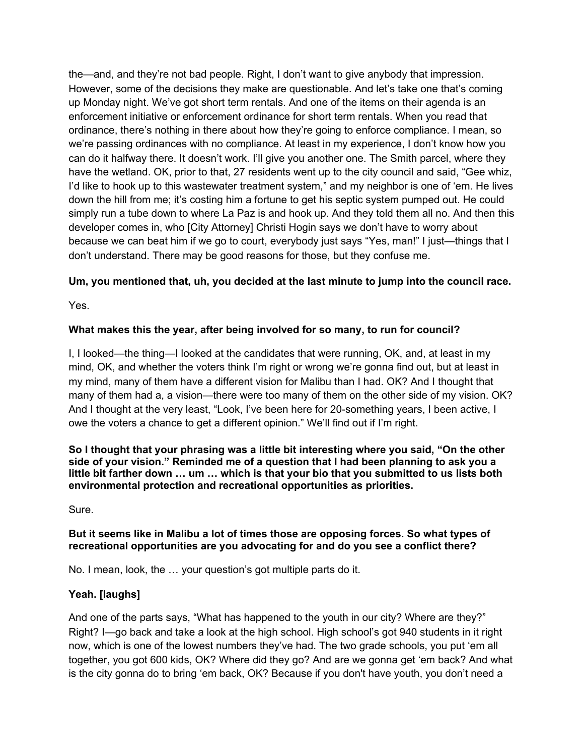the—and, and they're not bad people. Right, I don't want to give anybody that impression. However, some of the decisions they make are questionable. And let's take one that's coming up Monday night. We've got short term rentals. And one of the items on their agenda is an enforcement initiative or enforcement ordinance for short term rentals. When you read that ordinance, there's nothing in there about how they're going to enforce compliance. I mean, so we're passing ordinances with no compliance. At least in my experience, I don't know how you can do it halfway there. It doesn't work. I'll give you another one. The Smith parcel, where they have the wetland. OK, prior to that, 27 residents went up to the city council and said, "Gee whiz, I'd like to hook up to this wastewater treatment system," and my neighbor is one of 'em. He lives down the hill from me; it's costing him a fortune to get his septic system pumped out. He could simply run a tube down to where La Paz is and hook up. And they told them all no. And then this developer comes in, who [City Attorney] Christi Hogin says we don't have to worry about because we can beat him if we go to court, everybody just says "Yes, man!" I just—things that I don't understand. There may be good reasons for those, but they confuse me.

# **Um, you mentioned that, uh, you decided at the last minute to jump into the council race.**

Yes.

# **What makes this the year, after being involved for so many, to run for council?**

I, I looked—the thing—I looked at the candidates that were running, OK, and, at least in my mind, OK, and whether the voters think I'm right or wrong we're gonna find out, but at least in my mind, many of them have a different vision for Malibu than I had. OK? And I thought that many of them had a, a vision—there were too many of them on the other side of my vision. OK? And I thought at the very least, "Look, I've been here for 20-something years, I been active, I owe the voters a chance to get a different opinion." We'll find out if I'm right.

**So I thought that your phrasing was a little bit interesting where you said, "On the other side of your vision." Reminded me of a question that I had been planning to ask you a little bit farther down … um … which is that your bio that you submitted to us lists both environmental protection and recreational opportunities as priorities.**

Sure.

## **But it seems like in Malibu a lot of times those are opposing forces. So what types of recreational opportunities are you advocating for and do you see a conflict there?**

No. I mean, look, the … your question's got multiple parts do it.

# **Yeah. [laughs]**

And one of the parts says, "What has happened to the youth in our city? Where are they?" Right? I—go back and take a look at the high school. High school's got 940 students in it right now, which is one of the lowest numbers they've had. The two grade schools, you put 'em all together, you got 600 kids, OK? Where did they go? And are we gonna get 'em back? And what is the city gonna do to bring 'em back, OK? Because if you don't have youth, you don't need a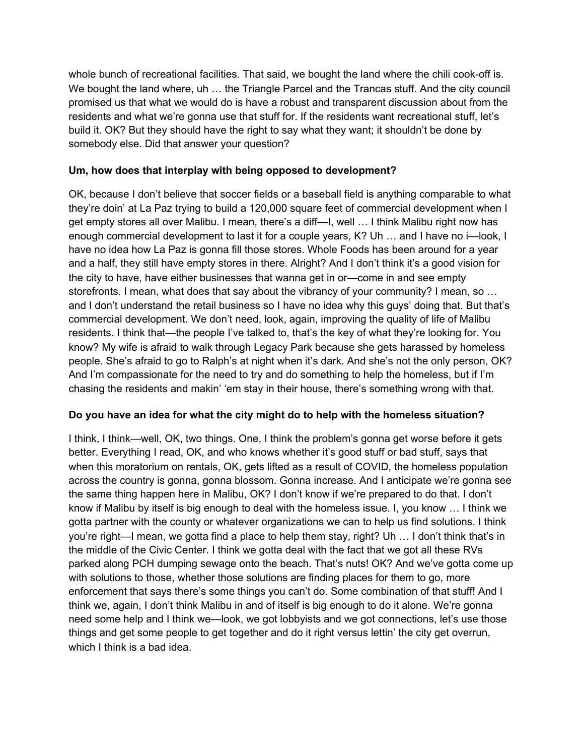whole bunch of recreational facilities. That said, we bought the land where the chili cook-off is. We bought the land where, uh ... the Triangle Parcel and the Trancas stuff. And the city council promised us that what we would do is have a robust and transparent discussion about from the residents and what we're gonna use that stuff for. If the residents want recreational stuff, let's build it. OK? But they should have the right to say what they want; it shouldn't be done by somebody else. Did that answer your question?

# **Um, how does that interplay with being opposed to development?**

OK, because I don't believe that soccer fields or a baseball field is anything comparable to what they're doin' at La Paz trying to build a 120,000 square feet of commercial development when I get empty stores all over Malibu. I mean, there's a diff—I, well … I think Malibu right now has enough commercial development to last it for a couple years, K? Uh … and I have no i—look, I have no idea how La Paz is gonna fill those stores. Whole Foods has been around for a year and a half, they still have empty stores in there. Alright? And I don't think it's a good vision for the city to have, have either businesses that wanna get in or—come in and see empty storefronts. I mean, what does that say about the vibrancy of your community? I mean, so … and I don't understand the retail business so I have no idea why this guys' doing that. But that's commercial development. We don't need, look, again, improving the quality of life of Malibu residents. I think that—the people I've talked to, that's the key of what they're looking for. You know? My wife is afraid to walk through Legacy Park because she gets harassed by homeless people. She's afraid to go to Ralph's at night when it's dark. And she's not the only person, OK? And I'm compassionate for the need to try and do something to help the homeless, but if I'm chasing the residents and makin' 'em stay in their house, there's something wrong with that.

# **Do you have an idea for what the city might do to help with the homeless situation?**

I think, I think—well, OK, two things. One, I think the problem's gonna get worse before it gets better. Everything I read, OK, and who knows whether it's good stuff or bad stuff, says that when this moratorium on rentals, OK, gets lifted as a result of COVID, the homeless population across the country is gonna, gonna blossom. Gonna increase. And I anticipate we're gonna see the same thing happen here in Malibu, OK? I don't know if we're prepared to do that. I don't know if Malibu by itself is big enough to deal with the homeless issue. I, you know … I think we gotta partner with the county or whatever organizations we can to help us find solutions. I think you're right—I mean, we gotta find a place to help them stay, right? Uh … I don't think that's in the middle of the Civic Center. I think we gotta deal with the fact that we got all these RVs parked along PCH dumping sewage onto the beach. That's nuts! OK? And we've gotta come up with solutions to those, whether those solutions are finding places for them to go, more enforcement that says there's some things you can't do. Some combination of that stuff! And I think we, again, I don't think Malibu in and of itself is big enough to do it alone. We're gonna need some help and I think we—look, we got lobbyists and we got connections, let's use those things and get some people to get together and do it right versus lettin' the city get overrun, which I think is a bad idea.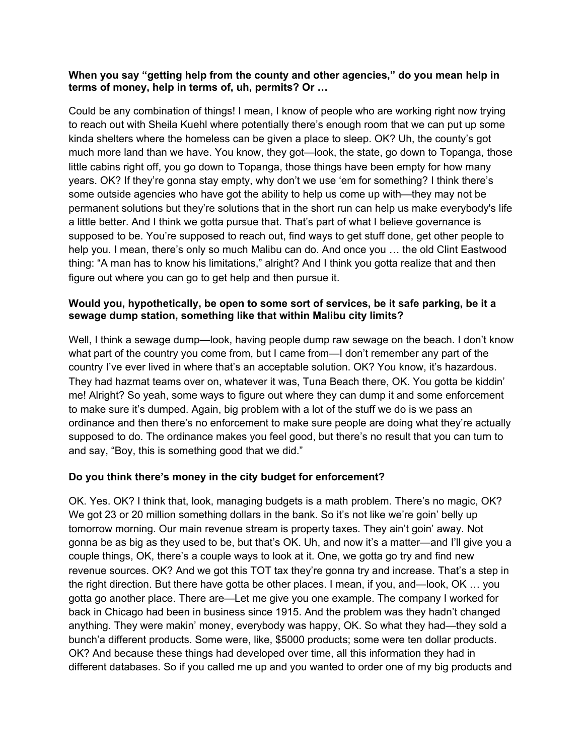### **When you say "getting help from the county and other agencies," do you mean help in terms of money, help in terms of, uh, permits? Or …**

Could be any combination of things! I mean, I know of people who are working right now trying to reach out with Sheila Kuehl where potentially there's enough room that we can put up some kinda shelters where the homeless can be given a place to sleep. OK? Uh, the county's got much more land than we have. You know, they got—look, the state, go down to Topanga, those little cabins right off, you go down to Topanga, those things have been empty for how many years. OK? If they're gonna stay empty, why don't we use 'em for something? I think there's some outside agencies who have got the ability to help us come up with—they may not be permanent solutions but they're solutions that in the short run can help us make everybody's life a little better. And I think we gotta pursue that. That's part of what I believe governance is supposed to be. You're supposed to reach out, find ways to get stuff done, get other people to help you. I mean, there's only so much Malibu can do. And once you … the old Clint Eastwood thing: "A man has to know his limitations," alright? And I think you gotta realize that and then figure out where you can go to get help and then pursue it.

## **Would you, hypothetically, be open to some sort of services, be it safe parking, be it a sewage dump station, something like that within Malibu city limits?**

Well, I think a sewage dump—look, having people dump raw sewage on the beach. I don't know what part of the country you come from, but I came from—I don't remember any part of the country I've ever lived in where that's an acceptable solution. OK? You know, it's hazardous. They had hazmat teams over on, whatever it was, Tuna Beach there, OK. You gotta be kiddin' me! Alright? So yeah, some ways to figure out where they can dump it and some enforcement to make sure it's dumped. Again, big problem with a lot of the stuff we do is we pass an ordinance and then there's no enforcement to make sure people are doing what they're actually supposed to do. The ordinance makes you feel good, but there's no result that you can turn to and say, "Boy, this is something good that we did."

# **Do you think there's money in the city budget for enforcement?**

OK. Yes. OK? I think that, look, managing budgets is a math problem. There's no magic, OK? We got 23 or 20 million something dollars in the bank. So it's not like we're goin' belly up tomorrow morning. Our main revenue stream is property taxes. They ain't goin' away. Not gonna be as big as they used to be, but that's OK. Uh, and now it's a matter—and I'll give you a couple things, OK, there's a couple ways to look at it. One, we gotta go try and find new revenue sources. OK? And we got this TOT tax they're gonna try and increase. That's a step in the right direction. But there have gotta be other places. I mean, if you, and—look, OK … you gotta go another place. There are—Let me give you one example. The company I worked for back in Chicago had been in business since 1915. And the problem was they hadn't changed anything. They were makin' money, everybody was happy, OK. So what they had—they sold a bunch'a different products. Some were, like, \$5000 products; some were ten dollar products. OK? And because these things had developed over time, all this information they had in different databases. So if you called me up and you wanted to order one of my big products and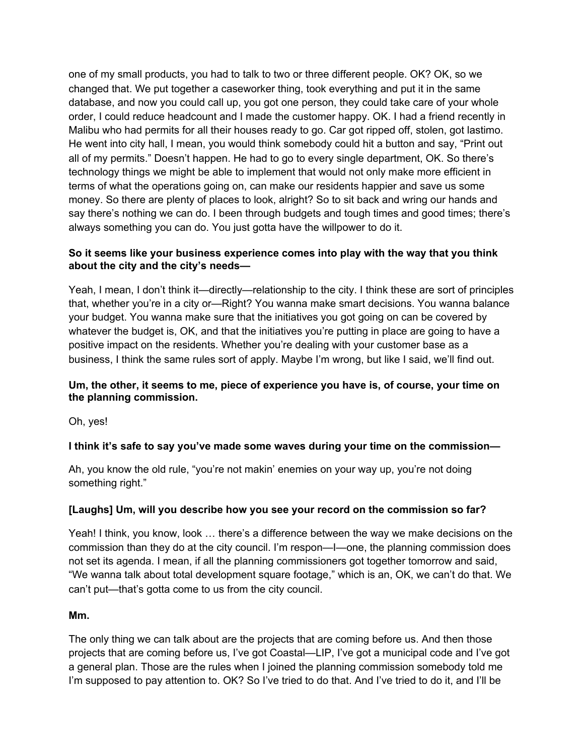one of my small products, you had to talk to two or three different people. OK? OK, so we changed that. We put together a caseworker thing, took everything and put it in the same database, and now you could call up, you got one person, they could take care of your whole order, I could reduce headcount and I made the customer happy. OK. I had a friend recently in Malibu who had permits for all their houses ready to go. Car got ripped off, stolen, got lastimo. He went into city hall, I mean, you would think somebody could hit a button and say, "Print out all of my permits." Doesn't happen. He had to go to every single department, OK. So there's technology things we might be able to implement that would not only make more efficient in terms of what the operations going on, can make our residents happier and save us some money. So there are plenty of places to look, alright? So to sit back and wring our hands and say there's nothing we can do. I been through budgets and tough times and good times; there's always something you can do. You just gotta have the willpower to do it.

## **So it seems like your business experience comes into play with the way that you think about the city and the city's needs—**

Yeah, I mean, I don't think it—directly—relationship to the city. I think these are sort of principles that, whether you're in a city or—Right? You wanna make smart decisions. You wanna balance your budget. You wanna make sure that the initiatives you got going on can be covered by whatever the budget is, OK, and that the initiatives you're putting in place are going to have a positive impact on the residents. Whether you're dealing with your customer base as a business, I think the same rules sort of apply. Maybe I'm wrong, but like I said, we'll find out.

## **Um, the other, it seems to me, piece of experience you have is, of course, your time on the planning commission.**

Oh, yes!

# **I think it's safe to say you've made some waves during your time on the commission—**

Ah, you know the old rule, "you're not makin' enemies on your way up, you're not doing something right."

# **[Laughs] Um, will you describe how you see your record on the commission so far?**

Yeah! I think, you know, look … there's a difference between the way we make decisions on the commission than they do at the city council. I'm respon—I—one, the planning commission does not set its agenda. I mean, if all the planning commissioners got together tomorrow and said, "We wanna talk about total development square footage," which is an, OK, we can't do that. We can't put—that's gotta come to us from the city council.

### **Mm.**

The only thing we can talk about are the projects that are coming before us. And then those projects that are coming before us, I've got Coastal—LIP, I've got a municipal code and I've got a general plan. Those are the rules when I joined the planning commission somebody told me I'm supposed to pay attention to. OK? So I've tried to do that. And I've tried to do it, and I'll be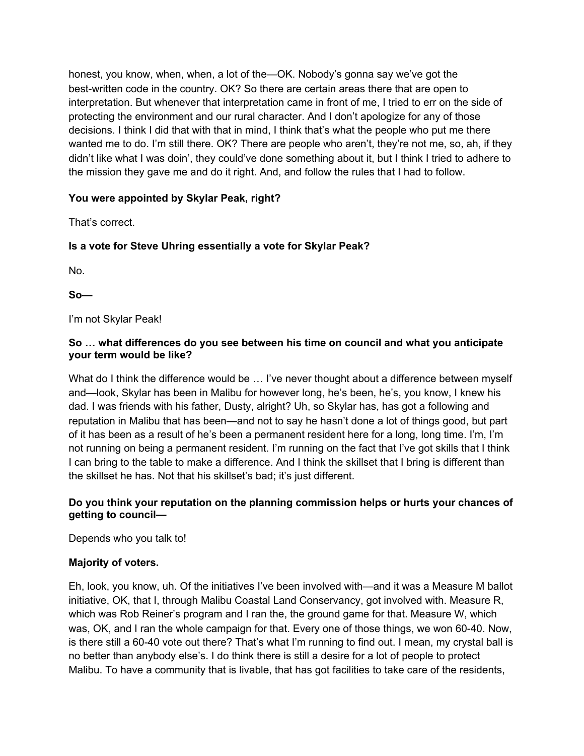honest, you know, when, when, a lot of the—OK. Nobody's gonna say we've got the best-written code in the country. OK? So there are certain areas there that are open to interpretation. But whenever that interpretation came in front of me, I tried to err on the side of protecting the environment and our rural character. And I don't apologize for any of those decisions. I think I did that with that in mind, I think that's what the people who put me there wanted me to do. I'm still there. OK? There are people who aren't, they're not me, so, ah, if they didn't like what I was doin', they could've done something about it, but I think I tried to adhere to the mission they gave me and do it right. And, and follow the rules that I had to follow.

# **You were appointed by Skylar Peak, right?**

That's correct.

# **Is a vote for Steve Uhring essentially a vote for Skylar Peak?**

No.

**So—**

I'm not Skylar Peak!

## **So … what differences do you see between his time on council and what you anticipate your term would be like?**

What do I think the difference would be ... I've never thought about a difference between myself and—look, Skylar has been in Malibu for however long, he's been, he's, you know, I knew his dad. I was friends with his father, Dusty, alright? Uh, so Skylar has, has got a following and reputation in Malibu that has been—and not to say he hasn't done a lot of things good, but part of it has been as a result of he's been a permanent resident here for a long, long time. I'm, I'm not running on being a permanent resident. I'm running on the fact that I've got skills that I think I can bring to the table to make a difference. And I think the skillset that I bring is different than the skillset he has. Not that his skillset's bad; it's just different.

# **Do you think your reputation on the planning commission helps or hurts your chances of getting to council—**

Depends who you talk to!

# **Majority of voters.**

Eh, look, you know, uh. Of the initiatives I've been involved with—and it was a Measure M ballot initiative, OK, that I, through Malibu Coastal Land Conservancy, got involved with. Measure R, which was Rob Reiner's program and I ran the, the ground game for that. Measure W, which was, OK, and I ran the whole campaign for that. Every one of those things, we won 60-40. Now, is there still a 60-40 vote out there? That's what I'm running to find out. I mean, my crystal ball is no better than anybody else's. I do think there is still a desire for a lot of people to protect Malibu. To have a community that is livable, that has got facilities to take care of the residents,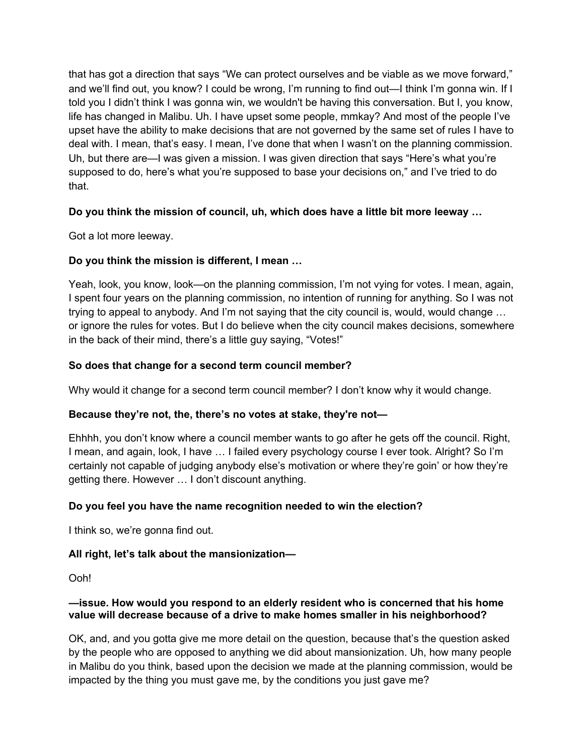that has got a direction that says "We can protect ourselves and be viable as we move forward," and we'll find out, you know? I could be wrong, I'm running to find out—I think I'm gonna win. If I told you I didn't think I was gonna win, we wouldn't be having this conversation. But I, you know, life has changed in Malibu. Uh. I have upset some people, mmkay? And most of the people I've upset have the ability to make decisions that are not governed by the same set of rules I have to deal with. I mean, that's easy. I mean, I've done that when I wasn't on the planning commission. Uh, but there are—I was given a mission. I was given direction that says "Here's what you're supposed to do, here's what you're supposed to base your decisions on," and I've tried to do that.

# **Do you think the mission of council, uh, which does have a little bit more leeway …**

Got a lot more leeway.

# **Do you think the mission is different, I mean …**

Yeah, look, you know, look—on the planning commission, I'm not vying for votes. I mean, again, I spent four years on the planning commission, no intention of running for anything. So I was not trying to appeal to anybody. And I'm not saying that the city council is, would, would change … or ignore the rules for votes. But I do believe when the city council makes decisions, somewhere in the back of their mind, there's a little guy saying, "Votes!"

## **So does that change for a second term council member?**

Why would it change for a second term council member? I don't know why it would change.

### **Because they're not, the, there's no votes at stake, they're not—**

Ehhhh, you don't know where a council member wants to go after he gets off the council. Right, I mean, and again, look, I have … I failed every psychology course I ever took. Alright? So I'm certainly not capable of judging anybody else's motivation or where they're goin' or how they're getting there. However … I don't discount anything.

# **Do you feel you have the name recognition needed to win the election?**

I think so, we're gonna find out.

# **All right, let's talk about the mansionization—**

Ooh!

## **—issue. How would you respond to an elderly resident who is concerned that his home value will decrease because of a drive to make homes smaller in his neighborhood?**

OK, and, and you gotta give me more detail on the question, because that's the question asked by the people who are opposed to anything we did about mansionization. Uh, how many people in Malibu do you think, based upon the decision we made at the planning commission, would be impacted by the thing you must gave me, by the conditions you just gave me?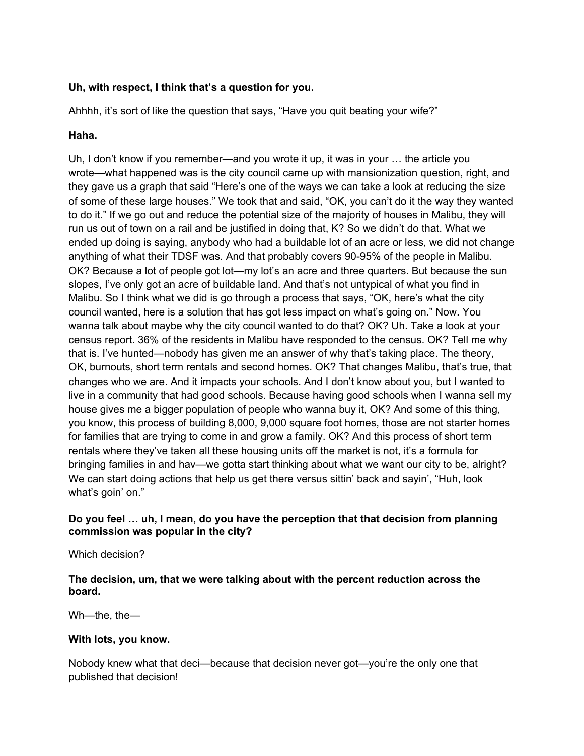## **Uh, with respect, I think that's a question for you.**

Ahhhh, it's sort of like the question that says, "Have you quit beating your wife?"

#### **Haha.**

Uh, I don't know if you remember—and you wrote it up, it was in your … the article you wrote—what happened was is the city council came up with mansionization question, right, and they gave us a graph that said "Here's one of the ways we can take a look at reducing the size of some of these large houses." We took that and said, "OK, you can't do it the way they wanted to do it." If we go out and reduce the potential size of the majority of houses in Malibu, they will run us out of town on a rail and be justified in doing that, K? So we didn't do that. What we ended up doing is saying, anybody who had a buildable lot of an acre or less, we did not change anything of what their TDSF was. And that probably covers 90-95% of the people in Malibu. OK? Because a lot of people got lot—my lot's an acre and three quarters. But because the sun slopes, I've only got an acre of buildable land. And that's not untypical of what you find in Malibu. So I think what we did is go through a process that says, "OK, here's what the city council wanted, here is a solution that has got less impact on what's going on." Now. You wanna talk about maybe why the city council wanted to do that? OK? Uh. Take a look at your census report. 36% of the residents in Malibu have responded to the census. OK? Tell me why that is. I've hunted—nobody has given me an answer of why that's taking place. The theory, OK, burnouts, short term rentals and second homes. OK? That changes Malibu, that's true, that changes who we are. And it impacts your schools. And I don't know about you, but I wanted to live in a community that had good schools. Because having good schools when I wanna sell my house gives me a bigger population of people who wanna buy it, OK? And some of this thing, you know, this process of building 8,000, 9,000 square foot homes, those are not starter homes for families that are trying to come in and grow a family. OK? And this process of short term rentals where they've taken all these housing units off the market is not, it's a formula for bringing families in and hav—we gotta start thinking about what we want our city to be, alright? We can start doing actions that help us get there versus sittin' back and sayin', "Huh, look what's goin' on."

## **Do you feel … uh, I mean, do you have the perception that that decision from planning commission was popular in the city?**

Which decision?

**The decision, um, that we were talking about with the percent reduction across the board.**

Wh—the, the—

### **With lots, you know.**

Nobody knew what that deci—because that decision never got—you're the only one that published that decision!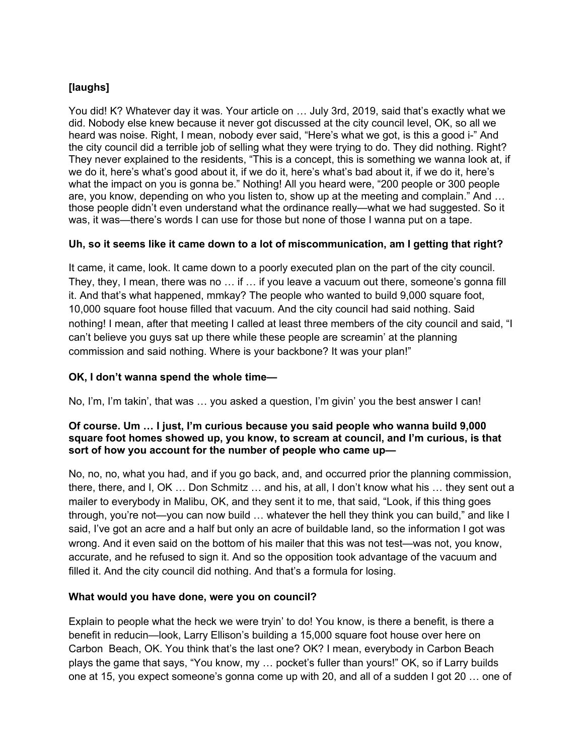# **[laughs]**

You did! K? Whatever day it was. Your article on … July 3rd, 2019, said that's exactly what we did. Nobody else knew because it never got discussed at the city council level, OK, so all we heard was noise. Right, I mean, nobody ever said, "Here's what we got, is this a good i-" And the city council did a terrible job of selling what they were trying to do. They did nothing. Right? They never explained to the residents, "This is a concept, this is something we wanna look at, if we do it, here's what's good about it, if we do it, here's what's bad about it, if we do it, here's what the impact on you is gonna be." Nothing! All you heard were, "200 people or 300 people are, you know, depending on who you listen to, show up at the meeting and complain." And … those people didn't even understand what the ordinance really—what we had suggested. So it was, it was—there's words I can use for those but none of those I wanna put on a tape.

## **Uh, so it seems like it came down to a lot of miscommunication, am I getting that right?**

It came, it came, look. It came down to a poorly executed plan on the part of the city council. They, they, I mean, there was no … if … if you leave a vacuum out there, someone's gonna fill it. And that's what happened, mmkay? The people who wanted to build 9,000 square foot, 10,000 square foot house filled that vacuum. And the city council had said nothing. Said nothing! I mean, after that meeting I called at least three members of the city council and said, "I can't believe you guys sat up there while these people are screamin' at the planning commission and said nothing. Where is your backbone? It was your plan!"

## **OK, I don't wanna spend the whole time—**

No, I'm, I'm takin', that was … you asked a question, I'm givin' you the best answer I can!

### **Of course. Um … I just, I'm curious because you said people who wanna build 9,000 square foot homes showed up, you know, to scream at council, and I'm curious, is that sort of how you account for the number of people who came up—**

No, no, no, what you had, and if you go back, and, and occurred prior the planning commission, there, there, and I, OK … Don Schmitz … and his, at all, I don't know what his … they sent out a mailer to everybody in Malibu, OK, and they sent it to me, that said, "Look, if this thing goes through, you're not—you can now build … whatever the hell they think you can build," and like I said, I've got an acre and a half but only an acre of buildable land, so the information I got was wrong. And it even said on the bottom of his mailer that this was not test—was not, you know, accurate, and he refused to sign it. And so the opposition took advantage of the vacuum and filled it. And the city council did nothing. And that's a formula for losing.

### **What would you have done, were you on council?**

Explain to people what the heck we were tryin' to do! You know, is there a benefit, is there a benefit in reducin—look, Larry Ellison's building a 15,000 square foot house over here on Carbon Beach, OK. You think that's the last one? OK? I mean, everybody in Carbon Beach plays the game that says, "You know, my … pocket's fuller than yours!" OK, so if Larry builds one at 15, you expect someone's gonna come up with 20, and all of a sudden I got 20 … one of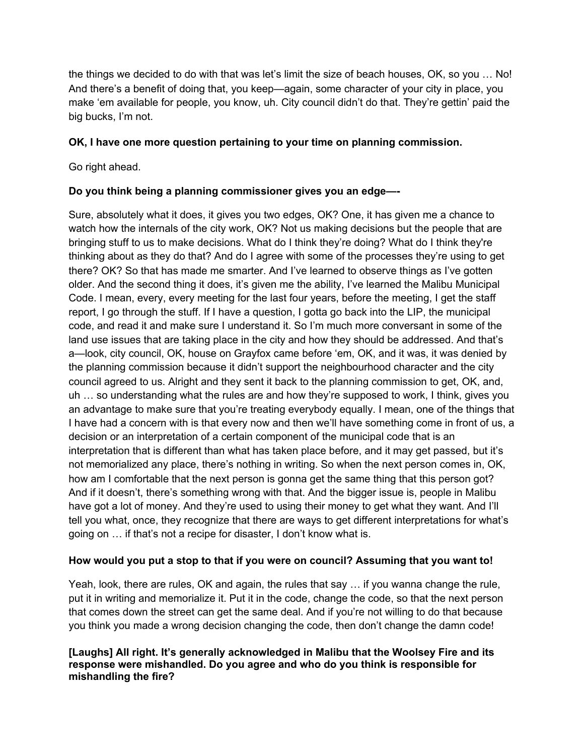the things we decided to do with that was let's limit the size of beach houses, OK, so you … No! And there's a benefit of doing that, you keep—again, some character of your city in place, you make 'em available for people, you know, uh. City council didn't do that. They're gettin' paid the big bucks, I'm not.

## **OK, I have one more question pertaining to your time on planning commission.**

Go right ahead.

## **Do you think being a planning commissioner gives you an edge—-**

Sure, absolutely what it does, it gives you two edges, OK? One, it has given me a chance to watch how the internals of the city work, OK? Not us making decisions but the people that are bringing stuff to us to make decisions. What do I think they're doing? What do I think they're thinking about as they do that? And do I agree with some of the processes they're using to get there? OK? So that has made me smarter. And I've learned to observe things as I've gotten older. And the second thing it does, it's given me the ability, I've learned the Malibu Municipal Code. I mean, every, every meeting for the last four years, before the meeting, I get the staff report, I go through the stuff. If I have a question, I gotta go back into the LIP, the municipal code, and read it and make sure I understand it. So I'm much more conversant in some of the land use issues that are taking place in the city and how they should be addressed. And that's a—look, city council, OK, house on Grayfox came before 'em, OK, and it was, it was denied by the planning commission because it didn't support the neighbourhood character and the city council agreed to us. Alright and they sent it back to the planning commission to get, OK, and, uh … so understanding what the rules are and how they're supposed to work, I think, gives you an advantage to make sure that you're treating everybody equally. I mean, one of the things that I have had a concern with is that every now and then we'll have something come in front of us, a decision or an interpretation of a certain component of the municipal code that is an interpretation that is different than what has taken place before, and it may get passed, but it's not memorialized any place, there's nothing in writing. So when the next person comes in, OK, how am I comfortable that the next person is gonna get the same thing that this person got? And if it doesn't, there's something wrong with that. And the bigger issue is, people in Malibu have got a lot of money. And they're used to using their money to get what they want. And I'll tell you what, once, they recognize that there are ways to get different interpretations for what's going on … if that's not a recipe for disaster, I don't know what is.

### **How would you put a stop to that if you were on council? Assuming that you want to!**

Yeah, look, there are rules, OK and again, the rules that say … if you wanna change the rule, put it in writing and memorialize it. Put it in the code, change the code, so that the next person that comes down the street can get the same deal. And if you're not willing to do that because you think you made a wrong decision changing the code, then don't change the damn code!

## **[Laughs] All right. It's generally acknowledged in Malibu that the Woolsey Fire and its response were mishandled. Do you agree and who do you think is responsible for mishandling the fire?**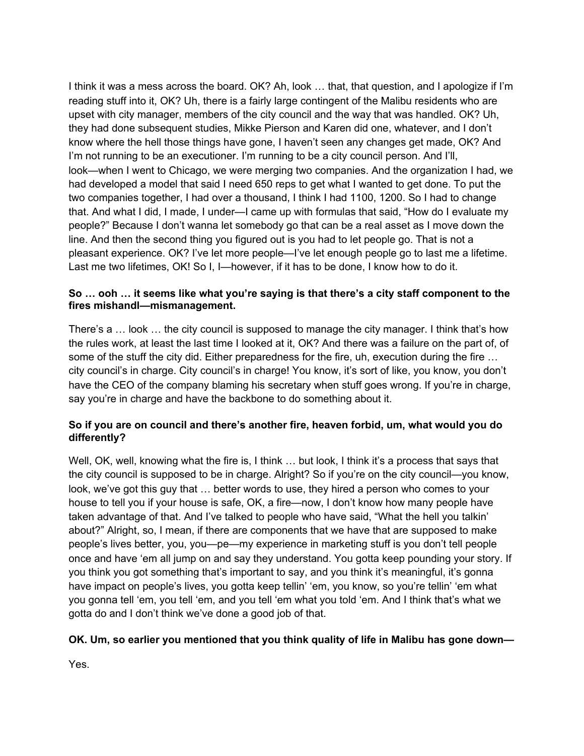I think it was a mess across the board. OK? Ah, look … that, that question, and I apologize if I'm reading stuff into it, OK? Uh, there is a fairly large contingent of the Malibu residents who are upset with city manager, members of the city council and the way that was handled. OK? Uh, they had done subsequent studies, Mikke Pierson and Karen did one, whatever, and I don't know where the hell those things have gone, I haven't seen any changes get made, OK? And I'm not running to be an executioner. I'm running to be a city council person. And I'll, look—when I went to Chicago, we were merging two companies. And the organization I had, we had developed a model that said I need 650 reps to get what I wanted to get done. To put the two companies together, I had over a thousand, I think I had 1100, 1200. So I had to change that. And what I did, I made, I under—I came up with formulas that said, "How do I evaluate my people?" Because I don't wanna let somebody go that can be a real asset as I move down the line. And then the second thing you figured out is you had to let people go. That is not a pleasant experience. OK? I've let more people—I've let enough people go to last me a lifetime. Last me two lifetimes, OK! So I, I-however, if it has to be done, I know how to do it.

## **So … ooh … it seems like what you're saying is that there's a city staff component to the fires mishandl—mismanagement.**

There's a … look … the city council is supposed to manage the city manager. I think that's how the rules work, at least the last time I looked at it, OK? And there was a failure on the part of, of some of the stuff the city did. Either preparedness for the fire, uh, execution during the fire ... city council's in charge. City council's in charge! You know, it's sort of like, you know, you don't have the CEO of the company blaming his secretary when stuff goes wrong. If you're in charge, say you're in charge and have the backbone to do something about it.

# **So if you are on council and there's another fire, heaven forbid, um, what would you do differently?**

Well, OK, well, knowing what the fire is, I think ... but look, I think it's a process that says that the city council is supposed to be in charge. Alright? So if you're on the city council—you know, look, we've got this guy that … better words to use, they hired a person who comes to your house to tell you if your house is safe, OK, a fire—now, I don't know how many people have taken advantage of that. And I've talked to people who have said, "What the hell you talkin' about?" Alright, so, I mean, if there are components that we have that are supposed to make people's lives better, you, you—pe—my experience in marketing stuff is you don't tell people once and have 'em all jump on and say they understand. You gotta keep pounding your story. If you think you got something that's important to say, and you think it's meaningful, it's gonna have impact on people's lives, you gotta keep tellin' 'em, you know, so you're tellin' 'em what you gonna tell 'em, you tell 'em, and you tell 'em what you told 'em. And I think that's what we gotta do and I don't think we've done a good job of that.

### **OK. Um, so earlier you mentioned that you think quality of life in Malibu has gone down—**

Yes.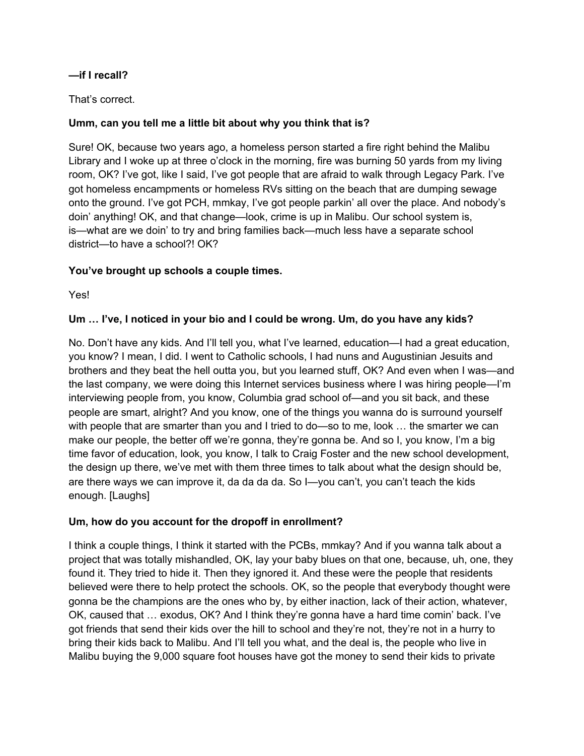# **—if I recall?**

# That's correct.

# **Umm, can you tell me a little bit about why you think that is?**

Sure! OK, because two years ago, a homeless person started a fire right behind the Malibu Library and I woke up at three o'clock in the morning, fire was burning 50 yards from my living room, OK? I've got, like I said, I've got people that are afraid to walk through Legacy Park. I've got homeless encampments or homeless RVs sitting on the beach that are dumping sewage onto the ground. I've got PCH, mmkay, I've got people parkin' all over the place. And nobody's doin' anything! OK, and that change—look, crime is up in Malibu. Our school system is, is—what are we doin' to try and bring families back—much less have a separate school district—to have a school?! OK?

# **You've brought up schools a couple times.**

Yes!

# **Um … I've, I noticed in your bio and I could be wrong. Um, do you have any kids?**

No. Don't have any kids. And I'll tell you, what I've learned, education—I had a great education, you know? I mean, I did. I went to Catholic schools, I had nuns and Augustinian Jesuits and brothers and they beat the hell outta you, but you learned stuff, OK? And even when I was—and the last company, we were doing this Internet services business where I was hiring people—I'm interviewing people from, you know, Columbia grad school of—and you sit back, and these people are smart, alright? And you know, one of the things you wanna do is surround yourself with people that are smarter than you and I tried to do—so to me, look … the smarter we can make our people, the better off we're gonna, they're gonna be. And so I, you know, I'm a big time favor of education, look, you know, I talk to Craig Foster and the new school development, the design up there, we've met with them three times to talk about what the design should be, are there ways we can improve it, da da da da. So I—you can't, you can't teach the kids enough. [Laughs]

# **Um, how do you account for the dropoff in enrollment?**

I think a couple things, I think it started with the PCBs, mmkay? And if you wanna talk about a project that was totally mishandled, OK, lay your baby blues on that one, because, uh, one, they found it. They tried to hide it. Then they ignored it. And these were the people that residents believed were there to help protect the schools. OK, so the people that everybody thought were gonna be the champions are the ones who by, by either inaction, lack of their action, whatever, OK, caused that … exodus, OK? And I think they're gonna have a hard time comin' back. I've got friends that send their kids over the hill to school and they're not, they're not in a hurry to bring their kids back to Malibu. And I'll tell you what, and the deal is, the people who live in Malibu buying the 9,000 square foot houses have got the money to send their kids to private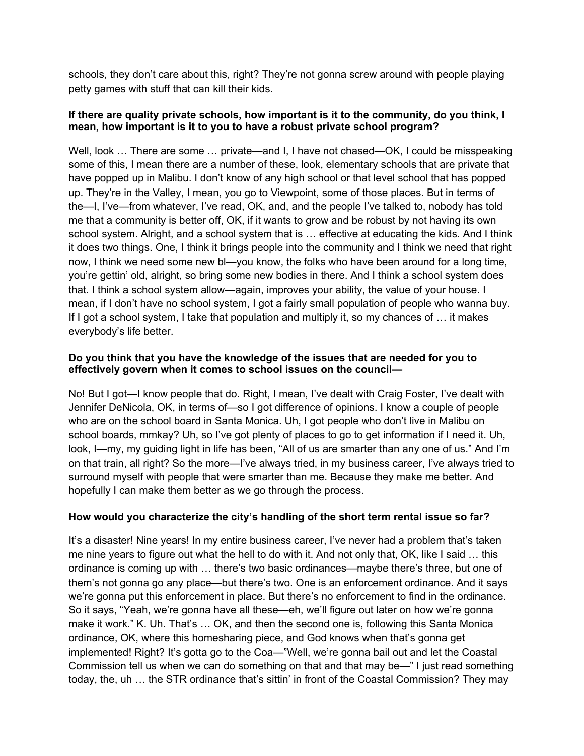schools, they don't care about this, right? They're not gonna screw around with people playing petty games with stuff that can kill their kids.

### **If there are quality private schools, how important is it to the community, do you think, I mean, how important is it to you to have a robust private school program?**

Well, look ... There are some ... private—and I, I have not chased—OK, I could be misspeaking some of this, I mean there are a number of these, look, elementary schools that are private that have popped up in Malibu. I don't know of any high school or that level school that has popped up. They're in the Valley, I mean, you go to Viewpoint, some of those places. But in terms of the—I, I've—from whatever, I've read, OK, and, and the people I've talked to, nobody has told me that a community is better off, OK, if it wants to grow and be robust by not having its own school system. Alright, and a school system that is … effective at educating the kids. And I think it does two things. One, I think it brings people into the community and I think we need that right now, I think we need some new bl—you know, the folks who have been around for a long time, you're gettin' old, alright, so bring some new bodies in there. And I think a school system does that. I think a school system allow—again, improves your ability, the value of your house. I mean, if I don't have no school system, I got a fairly small population of people who wanna buy. If I got a school system, I take that population and multiply it, so my chances of … it makes everybody's life better.

## **Do you think that you have the knowledge of the issues that are needed for you to effectively govern when it comes to school issues on the council—**

No! But I got—I know people that do. Right, I mean, I've dealt with Craig Foster, I've dealt with Jennifer DeNicola, OK, in terms of—so I got difference of opinions. I know a couple of people who are on the school board in Santa Monica. Uh, I got people who don't live in Malibu on school boards, mmkay? Uh, so I've got plenty of places to go to get information if I need it. Uh, look, I—my, my guiding light in life has been, "All of us are smarter than any one of us." And I'm on that train, all right? So the more—I've always tried, in my business career, I've always tried to surround myself with people that were smarter than me. Because they make me better. And hopefully I can make them better as we go through the process.

# **How would you characterize the city's handling of the short term rental issue so far?**

It's a disaster! Nine years! In my entire business career, I've never had a problem that's taken me nine years to figure out what the hell to do with it. And not only that, OK, like I said … this ordinance is coming up with … there's two basic ordinances—maybe there's three, but one of them's not gonna go any place—but there's two. One is an enforcement ordinance. And it says we're gonna put this enforcement in place. But there's no enforcement to find in the ordinance. So it says, "Yeah, we're gonna have all these—eh, we'll figure out later on how we're gonna make it work." K. Uh. That's … OK, and then the second one is, following this Santa Monica ordinance, OK, where this homesharing piece, and God knows when that's gonna get implemented! Right? It's gotta go to the Coa—"Well, we're gonna bail out and let the Coastal Commission tell us when we can do something on that and that may be—" I just read something today, the, uh … the STR ordinance that's sittin' in front of the Coastal Commission? They may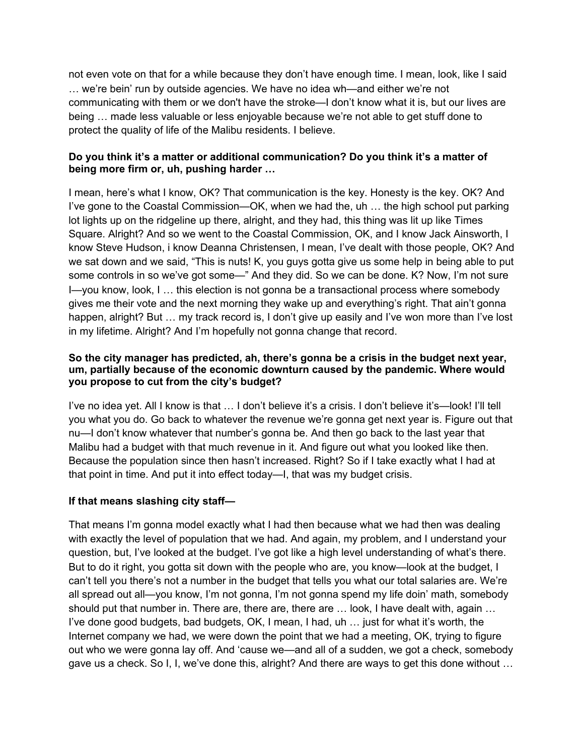not even vote on that for a while because they don't have enough time. I mean, look, like I said … we're bein' run by outside agencies. We have no idea wh—and either we're not communicating with them or we don't have the stroke—I don't know what it is, but our lives are being … made less valuable or less enjoyable because we're not able to get stuff done to protect the quality of life of the Malibu residents. I believe.

## **Do you think it's a matter or additional communication? Do you think it's a matter of being more firm or, uh, pushing harder …**

I mean, here's what I know, OK? That communication is the key. Honesty is the key. OK? And I've gone to the Coastal Commission—OK, when we had the, uh … the high school put parking lot lights up on the ridgeline up there, alright, and they had, this thing was lit up like Times Square. Alright? And so we went to the Coastal Commission, OK, and I know Jack Ainsworth, I know Steve Hudson, i know Deanna Christensen, I mean, I've dealt with those people, OK? And we sat down and we said, "This is nuts! K, you guys gotta give us some help in being able to put some controls in so we've got some—" And they did. So we can be done. K? Now, I'm not sure I—you know, look, I … this election is not gonna be a transactional process where somebody gives me their vote and the next morning they wake up and everything's right. That ain't gonna happen, alright? But ... my track record is, I don't give up easily and I've won more than I've lost in my lifetime. Alright? And I'm hopefully not gonna change that record.

### **So the city manager has predicted, ah, there's gonna be a crisis in the budget next year, um, partially because of the economic downturn caused by the pandemic. Where would you propose to cut from the city's budget?**

I've no idea yet. All I know is that … I don't believe it's a crisis. I don't believe it's—look! I'll tell you what you do. Go back to whatever the revenue we're gonna get next year is. Figure out that nu—I don't know whatever that number's gonna be. And then go back to the last year that Malibu had a budget with that much revenue in it. And figure out what you looked like then. Because the population since then hasn't increased. Right? So if I take exactly what I had at that point in time. And put it into effect today—I, that was my budget crisis.

# **If that means slashing city staff—**

That means I'm gonna model exactly what I had then because what we had then was dealing with exactly the level of population that we had. And again, my problem, and I understand your question, but, I've looked at the budget. I've got like a high level understanding of what's there. But to do it right, you gotta sit down with the people who are, you know—look at the budget, I can't tell you there's not a number in the budget that tells you what our total salaries are. We're all spread out all—you know, I'm not gonna, I'm not gonna spend my life doin' math, somebody should put that number in. There are, there are, there are ... look, I have dealt with, again ... I've done good budgets, bad budgets, OK, I mean, I had, uh … just for what it's worth, the Internet company we had, we were down the point that we had a meeting, OK, trying to figure out who we were gonna lay off. And 'cause we—and all of a sudden, we got a check, somebody gave us a check. So I, I, we've done this, alright? And there are ways to get this done without …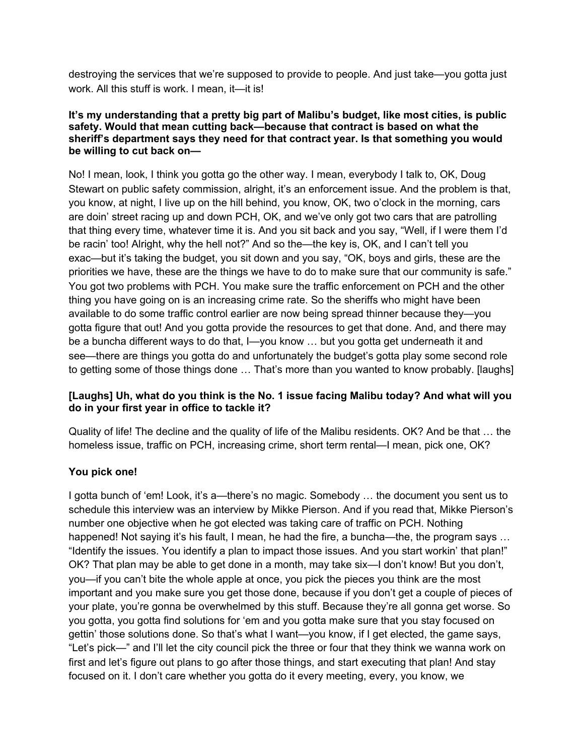destroying the services that we're supposed to provide to people. And just take—you gotta just work. All this stuff is work. I mean, it—it is!

### **It's my understanding that a pretty big part of Malibu's budget, like most cities, is public safety. Would that mean cutting back—because that contract is based on what the sheriff's department says they need for that contract year. Is that something you would be willing to cut back on—**

No! I mean, look, I think you gotta go the other way. I mean, everybody I talk to, OK, Doug Stewart on public safety commission, alright, it's an enforcement issue. And the problem is that, you know, at night, I live up on the hill behind, you know, OK, two o'clock in the morning, cars are doin' street racing up and down PCH, OK, and we've only got two cars that are patrolling that thing every time, whatever time it is. And you sit back and you say, "Well, if I were them I'd be racin' too! Alright, why the hell not?" And so the—the key is, OK, and I can't tell you exac—but it's taking the budget, you sit down and you say, "OK, boys and girls, these are the priorities we have, these are the things we have to do to make sure that our community is safe." You got two problems with PCH. You make sure the traffic enforcement on PCH and the other thing you have going on is an increasing crime rate. So the sheriffs who might have been available to do some traffic control earlier are now being spread thinner because they—you gotta figure that out! And you gotta provide the resources to get that done. And, and there may be a buncha different ways to do that, I—you know … but you gotta get underneath it and see—there are things you gotta do and unfortunately the budget's gotta play some second role to getting some of those things done … That's more than you wanted to know probably. [laughs]

# **[Laughs] Uh, what do you think is the No. 1 issue facing Malibu today? And what will you do in your first year in office to tackle it?**

Quality of life! The decline and the quality of life of the Malibu residents. OK? And be that … the homeless issue, traffic on PCH, increasing crime, short term rental—I mean, pick one, OK?

# **You pick one!**

I gotta bunch of 'em! Look, it's a—there's no magic. Somebody … the document you sent us to schedule this interview was an interview by Mikke Pierson. And if you read that, Mikke Pierson's number one objective when he got elected was taking care of traffic on PCH. Nothing happened! Not saying it's his fault, I mean, he had the fire, a buncha—the, the program says ... "Identify the issues. You identify a plan to impact those issues. And you start workin' that plan!" OK? That plan may be able to get done in a month, may take six—I don't know! But you don't, you—if you can't bite the whole apple at once, you pick the pieces you think are the most important and you make sure you get those done, because if you don't get a couple of pieces of your plate, you're gonna be overwhelmed by this stuff. Because they're all gonna get worse. So you gotta, you gotta find solutions for 'em and you gotta make sure that you stay focused on gettin' those solutions done. So that's what I want—you know, if I get elected, the game says, "Let's pick—" and I'll let the city council pick the three or four that they think we wanna work on first and let's figure out plans to go after those things, and start executing that plan! And stay focused on it. I don't care whether you gotta do it every meeting, every, you know, we